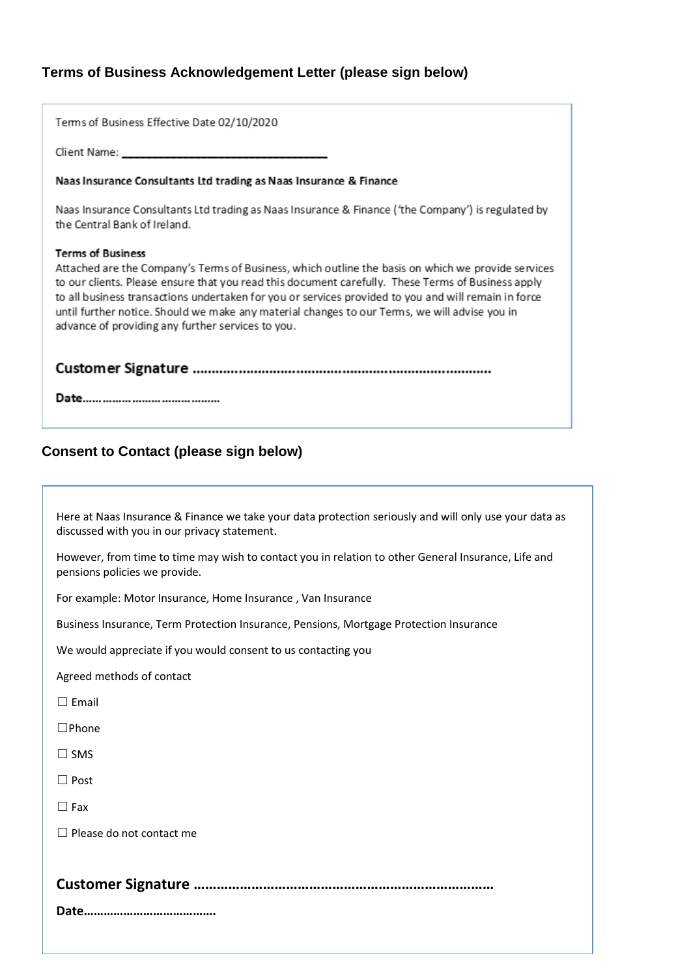# **Terms of Business Acknowledgement Letter (please sign below)**

Terms of Business Effective Date 02/10/2020

Client Name:

# Naas Insurance Consultants Ltd trading as Naas Insurance & Finance

Naas Insurance Consultants Ltd trading as Naas Insurance & Finance ('the Company') is regulated by the Central Bank of Ireland.

# **Terms of Business**

Attached are the Company's Terms of Business, which outline the basis on which we provide services to our clients. Please ensure that you read this document carefully. These Terms of Business apply to all business transactions undertaken for you or services provided to you and will remain in force until further notice. Should we make any material changes to our Terms, we will advise you in advance of providing any further services to you.

# **Consent to Contact (please sign below)**

Here at Naas Insurance & Finance we take your data protection seriously and will only use your data as discussed with you in our privacy statement.

However, from time to time may wish to contact you in relation to other General Insurance, Life and pensions policies we provide.

For example: Motor Insurance, Home Insurance , Van Insurance

Business Insurance, Term Protection Insurance, Pensions, Mortgage Protection Insurance

We would appreciate if you would consent to us contacting you

Agreed methods of contact

 $\Box$  Email

☐Phone

☐ SMS

☐ Post

☐ Fax

☐ Please do not contact me

# **Customer Signature ……………………………………………………………………**

**Date………………………………….**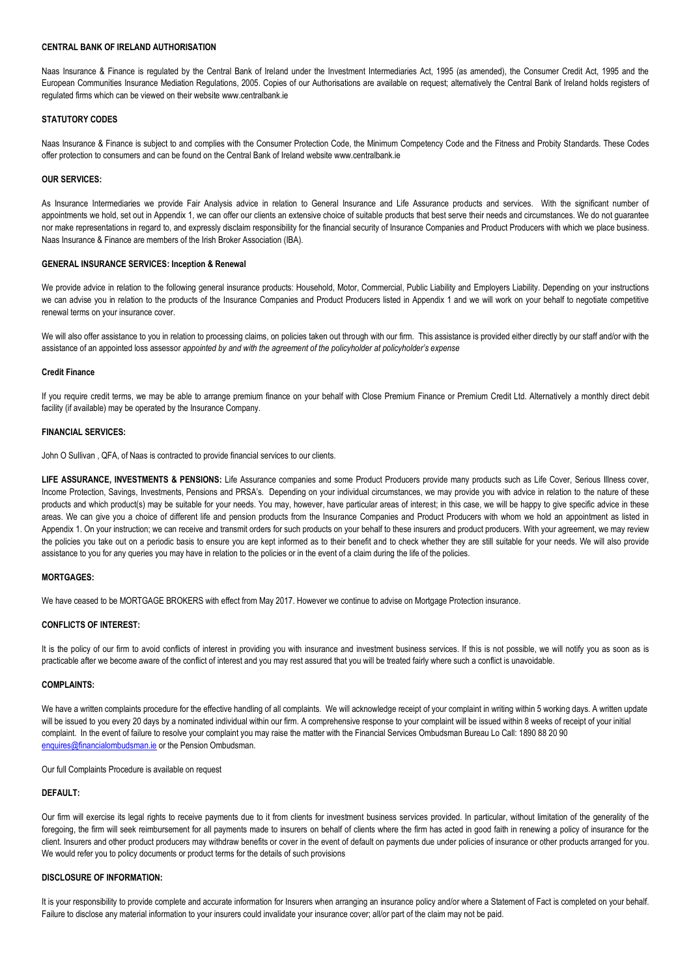## **CENTRAL BANK OF IRELAND AUTHORISATION**

Naas Insurance & Finance is regulated by the Central Bank of Ireland under the Investment Intermediaries Act, 1995 (as amended), the Consumer Credit Act, 1995 and the European Communities Insurance Mediation Regulations, 2005. Copies of our Authorisations are available on request; alternatively the Central Bank of Ireland holds registers of regulated firms which can be viewed on their website www.centralbank.ie

## **STATUTORY CODES**

Naas Insurance & Finance is subject to and complies with the Consumer Protection Code, the Minimum Competency Code and the Fitness and Probity Standards. These Codes offer protection to consumers and can be found on the Central Bank of Ireland website www.centralbank.ie

#### **OUR SERVICES:**

As Insurance Intermediaries we provide Fair Analysis advice in relation to General Insurance and Life Assurance products and services. With the significant number of appointments we hold, set out in Appendix 1, we can offer our clients an extensive choice of suitable products that best serve their needs and circumstances. We do not quarantee nor make representations in regard to, and expressly disclaim responsibility for the financial security of Insurance Companies and Product Producers with which we place business. Naas Insurance & Finance are members of the Irish Broker Association (IBA).

## **GENERAL INSURANCE SERVICES: Inception & Renewal**

We provide advice in relation to the following general insurance products: Household, Motor, Commercial, Public Liability and Employers Liability. Depending on your instructions we can advise you in relation to the products of the Insurance Companies and Product Producers listed in Appendix 1 and we will work on your behalf to negotiate competitive renewal terms on your insurance cover.

We will also offer assistance to you in relation to processing claims, on policies taken out through with our firm. This assistance is provided either directly by our staff and/or with the assistance of an appointed loss assessor *appointed by and with the agreement of the policyholder at policyholder's expense*

## **Credit Finance**

If you require credit terms, we may be able to arrange premium finance on your behalf with Close Premium Finance or Premium Credit Ltd. Alternatively a monthly direct debit facility (if available) may be operated by the Insurance Company.

## **FINANCIAL SERVICES:**

John O Sullivan , QFA, of Naas is contracted to provide financial services to our clients.

**LIFE ASSURANCE, INVESTMENTS & PENSIONS:** Life Assurance companies and some Product Producers provide many products such as Life Cover, Serious Illness cover, Income Protection, Savings, Investments, Pensions and PRSA's. Depending on your individual circumstances, we may provide you with advice in relation to the nature of these products and which product(s) may be suitable for your needs. You may, however, have particular areas of interest; in this case, we will be happy to give specific advice in these areas. We can give you a choice of different life and pension products from the Insurance Companies and Product Producers with whom we hold an appointment as listed in Appendix 1. On your instruction; we can receive and transmit orders for such products on your behalf to these insurers and product producers. With your agreement, we may review the policies you take out on a periodic basis to ensure you are kept informed as to their benefit and to check whether they are still suitable for your needs. We will also provide assistance to you for any queries you may have in relation to the policies or in the event of a claim during the life of the policies.

## **MORTGAGES:**

We have ceased to be MORTGAGE BROKERS with effect from May 2017. However we continue to advise on Mortgage Protection insurance.

## **CONFLICTS OF INTEREST:**

It is the policy of our firm to avoid conflicts of interest in providing you with insurance and investment business services. If this is not possible, we will notify you as soon as is practicable after we become aware of the conflict of interest and you may rest assured that you will be treated fairly where such a conflict is unavoidable.

## **COMPLAINTS:**

We have a written complaints procedure for the effective handling of all complaints. We will acknowledge receipt of your complaint in writing within 5 working days. A written update will be issued to you every 20 days by a nominated individual within our firm. A comprehensive response to your complaint will be issued within 8 weeks of receipt of your initial complaint. In the event of failure to resolve your complaint you may raise the matter with the Financial Services Ombudsman Bureau Lo Call: 1890 88 20 90 [enquires@financialombudsman.ie](mailto:enquires@financialombudsman.ie) or the Pension Ombudsman.

Our full Complaints Procedure is available on request

## **DEFAULT:**

Our firm will exercise its legal rights to receive payments due to it from clients for investment business services provided. In particular, without limitation of the generality of the foregoing, the firm will seek reimbursement for all payments made to insurers on behalf of clients where the firm has acted in good faith in renewing a policy of insurance for the client. Insurers and other product producers may withdraw benefits or cover in the event of default on payments due under policies of insurance or other products arranged for you. We would refer you to policy documents or product terms for the details of such provisions

#### **DISCLOSURE OF INFORMATION:**

It is your responsibility to provide complete and accurate information for Insurers when arranging an insurance policy and/or where a Statement of Fact is completed on your behalf. Failure to disclose any material information to your insurers could invalidate your insurance cover; all/or part of the claim may not be paid.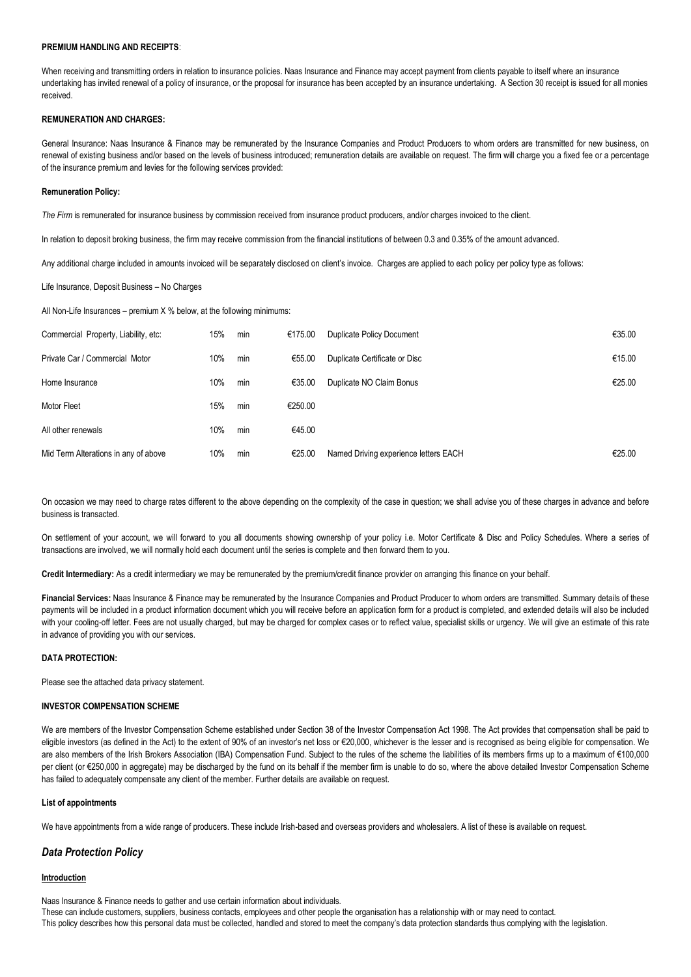## **PREMIUM HANDLING AND RECEIPTS**:

When receiving and transmitting orders in relation to insurance policies. Naas Insurance and Finance may accept payment from clients payable to itself where an insurance undertaking has invited renewal of a policy of insurance, or the proposal for insurance has been accepted by an insurance undertaking. A Section 30 receipt is issued for all monies received.

## **REMUNERATION AND CHARGES:**

General Insurance: Naas Insurance & Finance may be remunerated by the Insurance Companies and Product Producers to whom orders are transmitted for new business, on renewal of existing business and/or based on the levels of business introduced; remuneration details are available on request. The firm will charge you a fixed fee or a percentage of the insurance premium and levies for the following services provided:

### **Remuneration Policy:**

*The Firm* is remunerated for insurance business by commission received from insurance product producers, and/or charges invoiced to the client.

In relation to deposit broking business, the firm may receive commission from the financial institutions of between 0.3 and 0.35% of the amount advanced.

Any additional charge included in amounts invoiced will be separately disclosed on client's invoice. Charges are applied to each policy per policy type as follows:

Life Insurance, Deposit Business – No Charges

All Non-Life Insurances – premium X % below, at the following minimums:

| Commercial Property, Liability, etc: | 15% | min | €175.00 | Duplicate Policy Document             | €35.00 |
|--------------------------------------|-----|-----|---------|---------------------------------------|--------|
| Private Car / Commercial Motor       | 10% | min | €55.00  | Duplicate Certificate or Disc         | €15.00 |
| Home Insurance                       | 10% | min | €35.00  | Duplicate NO Claim Bonus              | €25.00 |
| Motor Fleet                          | 15% | min | €250.00 |                                       |        |
| All other renewals                   | 10% | min | €45.00  |                                       |        |
| Mid Term Alterations in any of above | 10% | min | €25.00  | Named Driving experience letters EACH | €25.00 |

On occasion we may need to charge rates different to the above depending on the complexity of the case in question; we shall advise you of these charges in advance and before business is transacted.

On settlement of your account, we will forward to you all documents showing ownership of your policy i.e. Motor Certificate & Disc and Policy Schedules. Where a series of transactions are involved, we will normally hold each document until the series is complete and then forward them to you.

**Credit Intermediary:** As a credit intermediary we may be remunerated by the premium/credit finance provider on arranging this finance on your behalf.

Financial Services: Naas Insurance & Finance may be remunerated by the Insurance Companies and Product Producer to whom orders are transmitted. Summary details of these payments will be included in a product information document which you will receive before an application form for a product is completed, and extended details will also be included with your cooling-off letter. Fees are not usually charged, but may be charged for complex cases or to reflect value, specialist skills or urgency. We will give an estimate of this rate in advance of providing you with our services.

## **DATA PROTECTION:**

Please see the attached data privacy statement.

## **INVESTOR COMPENSATION SCHEME**

We are members of the Investor Compensation Scheme established under Section 38 of the Investor Compensation Act 1998. The Act provides that compensation shall be paid to eligible investors (as defined in the Act) to the extent of 90% of an investor's net loss or €20,000, whichever is the lesser and is recognised as being eligible for compensation. We are also members of the Irish Brokers Association (IBA) Compensation Fund. Subject to the rules of the scheme the liabilities of its members firms up to a maximum of €100,000 per client (or €250,000 in aggregate) may be discharged by the fund on its behalf if the member firm is unable to do so, where the above detailed Investor Compensation Scheme has failed to adequately compensate any client of the member. Further details are available on request.

## **List of appointments**

We have appointments from a wide range of producers. These include Irish-based and overseas providers and wholesalers. A list of these is available on request.

## *Data Protection Policy*

## **Introduction**

Naas Insurance & Finance needs to gather and use certain information about individuals. These can include customers, suppliers, business contacts, employees and other people the organisation has a relationship with or may need to contact. This policy describes how this personal data must be collected, handled and stored to meet the company's data protection standards thus complying with the legislation.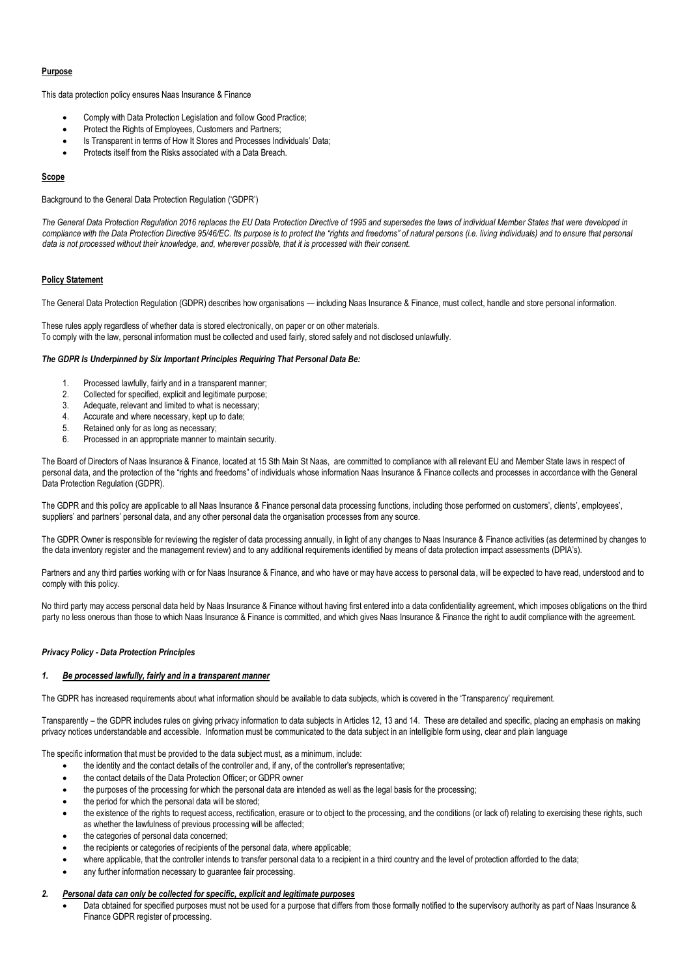## **Purpose**

This data protection policy ensures Naas Insurance & Finance

- Comply with Data Protection Legislation and follow Good Practice;
- Protect the Rights of Employees, Customers and Partners;
- Is Transparent in terms of How It Stores and Processes Individuals' Data;
- Protects itself from the Risks associated with a Data Breach.

## **Scope**

Background to the General Data Protection Regulation ('GDPR')

*The General Data Protection Regulation 2016 replaces the EU Data Protection Directive of 1995 and supersedes the laws of individual Member States that were developed in compliance with the Data Protection Directive 95/46/EC. Its purpose is to protect the "rights and freedoms" of natural persons (i.e. living individuals) and to ensure that personal data is not processed without their knowledge, and, wherever possible, that it is processed with their consent.* 

## **Policy Statement**

The General Data Protection Regulation (GDPR) describes how organisations — including Naas Insurance & Finance, must collect, handle and store personal information.

These rules apply regardless of whether data is stored electronically, on paper or on other materials. To comply with the law, personal information must be collected and used fairly, stored safely and not disclosed unlawfully.

## *The GDPR Is Underpinned by Six Important Principles Requiring That Personal Data Be:*

- Processed lawfully, fairly and in a transparent manner;
- 2. Collected for specified, explicit and legitimate purpose;
- 3. Adequate, relevant and limited to what is necessary;
- 4. Accurate and where necessary, kept up to date;
- 5. Retained only for as long as necessary;
- 6. Processed in an appropriate manner to maintain security.

The Board of Directors of Naas Insurance & Finance, located at 15 Sth Main St Naas, are committed to compliance with all relevant EU and Member State laws in respect of personal data, and the protection of the "rights and freedoms" of individuals whose information Naas Insurance & Finance collects and processes in accordance with the General Data Protection Regulation (GDPR).

The GDPR and this policy are applicable to all Naas Insurance & Finance personal data processing functions, including those performed on customers', clients', employees', suppliers' and partners' personal data, and any other personal data the organisation processes from any source.

The GDPR Owner is responsible for reviewing the register of data processing annually, in light of any changes to Naas Insurance & Finance activities (as determined by changes to the data inventory register and the management review) and to any additional requirements identified by means of data protection impact assessments (DPIA's).

Partners and any third parties working with or for Naas Insurance & Finance, and who have or may have access to personal data, will be expected to have read, understood and to comply with this policy.

No third party may access personal data held by Naas Insurance & Finance without having first entered into a data confidentiality agreement, which imposes obligations on the third party no less onerous than those to which Naas Insurance & Finance is committed, and which gives Naas Insurance & Finance the right to audit compliance with the agreement.

## *Privacy Policy - Data Protection Principles*

## *Be processed lawfully, fairly and in a transparent manner*

The GDPR has increased requirements about what information should be available to data subjects, which is covered in the 'Transparency' requirement.

Transparently – the GDPR includes rules on giving privacy information to data subjects in Articles 12, 13 and 14. These are detailed and specific, placing an emphasis on making privacy notices understandable and accessible. Information must be communicated to the data subject in an intelligible form using, clear and plain language

The specific information that must be provided to the data subject must, as a minimum, include:

- the identity and the contact details of the controller and, if any, of the controller's representative;
- the contact details of the Data Protection Officer; or GDPR owner
- the purposes of the processing for which the personal data are intended as well as the legal basis for the processing;
- the period for which the personal data will be stored;
- the existence of the rights to request access, rectification, erasure or to object to the processing, and the conditions (or lack of) relating to exercising these rights, such as whether the lawfulness of previous processing will be affected;
- the categories of personal data concerned;
- the recipients or categories of recipients of the personal data, where applicable;
- where applicable, that the controller intends to transfer personal data to a recipient in a third country and the level of protection afforded to the data;
- any further information necessary to guarantee fair processing.

## *2. Personal data can only be collected for specific, explicit and legitimate purposes*

Data obtained for specified purposes must not be used for a purpose that differs from those formally notified to the supervisory authority as part of Naas Insurance & Finance GDPR register of processing.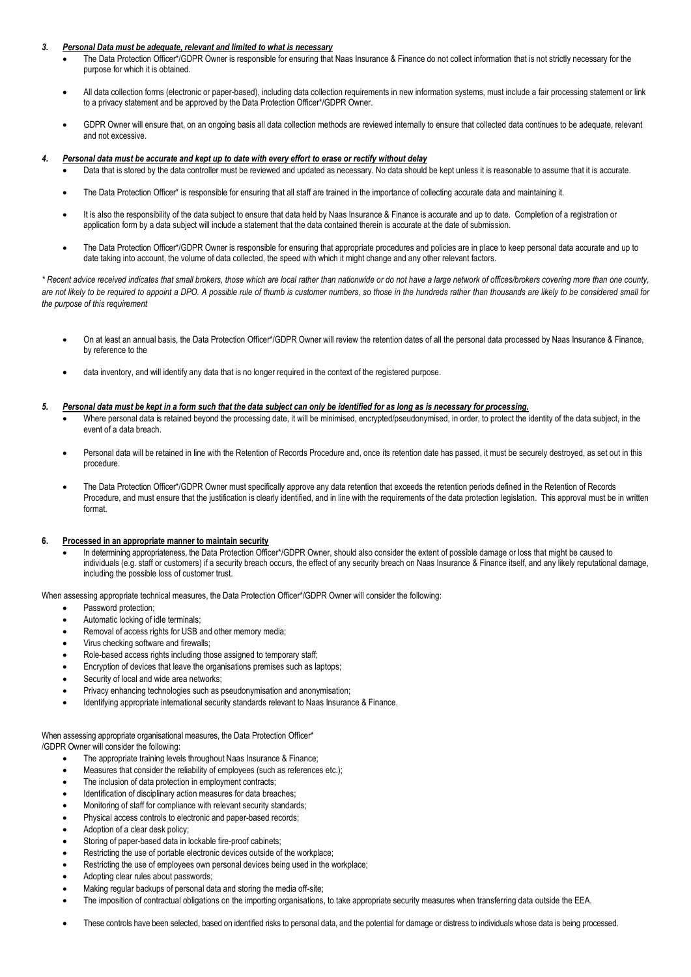## *3. Personal Data must be adequate, relevant and limited to what is necessary*

- The Data Protection Officer\*/GDPR Owner is responsible for ensuring that Naas Insurance & Finance do not collect information that is not strictly necessary for the purpose for which it is obtained.
- All data collection forms (electronic or paper-based), including data collection requirements in new information systems, must include a fair processing statement or link to a privacy statement and be approved by the Data Protection Officer\*/GDPR Owner.
- GDPR Owner will ensure that, on an ongoing basis all data collection methods are reviewed internally to ensure that collected data continues to be adequate, relevant and not excessive.

## *4. Personal data must be accurate and kept up to date with every effort to erase or rectify without delay*

- Data that is stored by the data controller must be reviewed and updated as necessary. No data should be kept unless it is reasonable to assume that it is accurate.
	- The Data Protection Officer\* is responsible for ensuring that all staff are trained in the importance of collecting accurate data and maintaining it.
- It is also the responsibility of the data subject to ensure that data held by Naas Insurance & Finance is accurate and up to date. Completion of a registration or application form by a data subject will include a statement that the data contained therein is accurate at the date of submission.
- The Data Protection Officer\*/GDPR Owner is responsible for ensuring that appropriate procedures and policies are in place to keep personal data accurate and up to date taking into account, the volume of data collected, the speed with which it might change and any other relevant factors.

*\* Recent advice received indicates that small brokers, those which are local rather than nationwide or do not have a large network of offices/brokers covering more than one county,*  are not likely to be required to appoint a DPO. A possible rule of thumb is customer numbers, so those in the hundreds rather than thousands are likely to be considered small for *the purpose of this requirement*

- On at least an annual basis, the Data Protection Officer\*/GDPR Owner will review the retention dates of all the personal data processed by Naas Insurance & Finance, by reference to the
- data inventory, and will identify any data that is no longer required in the context of the registered purpose.

#### *5. Personal data must be kept in a form such that the data subject can only be identified for as long as is necessary for processing.*

- Where personal data is retained beyond the processing date, it will be minimised, encrypted/pseudonymised, in order, to protect the identity of the data subject, in the event of a data breach.
- Personal data will be retained in line with the Retention of Records Procedure and, once its retention date has passed, it must be securely destroyed, as set out in this procedure.
- The Data Protection Officer\*/GDPR Owner must specifically approve any data retention that exceeds the retention periods defined in the Retention of Records Procedure, and must ensure that the justification is clearly identified, and in line with the requirements of the data protection legislation. This approval must be in written format.

#### **6. Processed in an appropriate manner to maintain security**

In determining appropriateness, the Data Protection Officer\*/GDPR Owner, should also consider the extent of possible damage or loss that might be caused to individuals (e.g. staff or customers) if a security breach occurs, the effect of any security breach on Naas Insurance & Finance itself, and any likely reputational damage, including the possible loss of customer trust.

When assessing appropriate technical measures, the Data Protection Officer\*/GDPR Owner will consider the following:

- Password protection:
- Automatic locking of idle terminals;
- Removal of access rights for USB and other memory media;
- Virus checking software and firewalls;
- Role-based access rights including those assigned to temporary staff;
- Encryption of devices that leave the organisations premises such as laptops;
- Security of local and wide area networks;
- Privacy enhancing technologies such as pseudonymisation and anonymisation;
- Identifying appropriate international security standards relevant to Naas Insurance & Finance.
- When assessing appropriate organisational measures, the Data Protection Officer\*

/GDPR Owner will consider the following:

- The appropriate training levels throughout Naas Insurance & Finance;
- Measures that consider the reliability of employees (such as references etc.);
- The inclusion of data protection in employment contracts;
- Identification of disciplinary action measures for data breaches;
- Monitoring of staff for compliance with relevant security standards;
- Physical access controls to electronic and paper-based records;
- Adoption of a clear desk policy;
- Storing of paper-based data in lockable fire-proof cabinets;
- Restricting the use of portable electronic devices outside of the workplace;
- Restricting the use of employees own personal devices being used in the workplace;
- Adopting clear rules about passwords;
- Making regular backups of personal data and storing the media off-site;
- The imposition of contractual obligations on the importing organisations, to take appropriate security measures when transferring data outside the EEA.
- These controls have been selected, based on identified risks to personal data, and the potential for damage or distress to individuals whose data is being processed.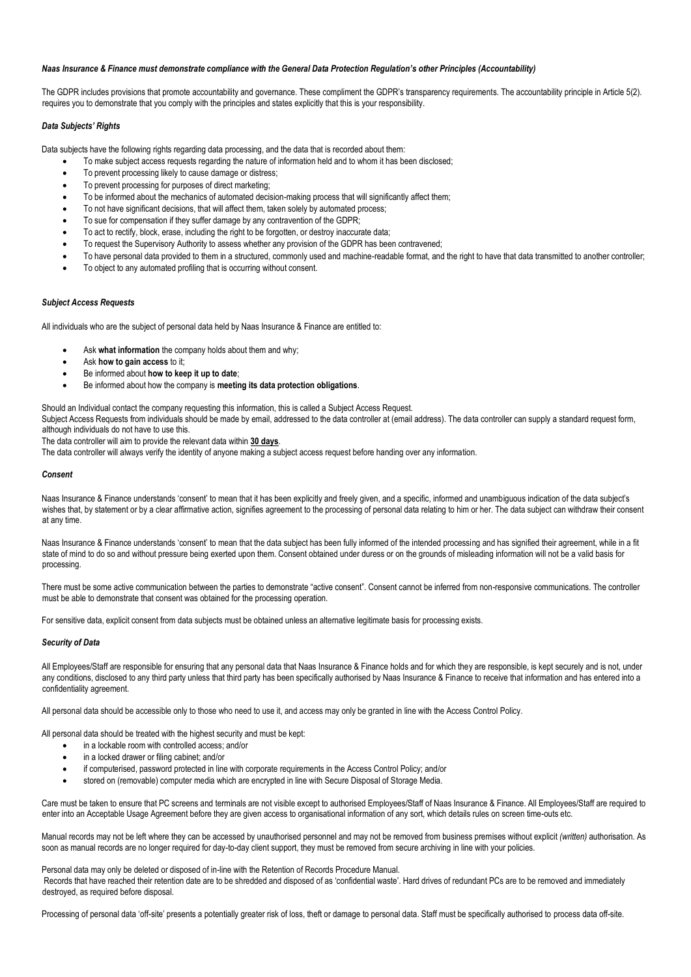## *Naas Insurance & Finance must demonstrate compliance with the General Data Protection Regulation's other Principles (Accountability)*

The GDPR includes provisions that promote accountability and governance. These compliment the GDPR's transparency requirements. The accountability principle in Article 5(2). requires you to demonstrate that you comply with the principles and states explicitly that this is your responsibility.

## *Data Subjects' Rights*

Data subjects have the following rights regarding data processing, and the data that is recorded about them:

- To make subject access requests regarding the nature of information held and to whom it has been disclosed;
- To prevent processing likely to cause damage or distress;
- To prevent processing for purposes of direct marketing;
- To be informed about the mechanics of automated decision-making process that will significantly affect them;
- To not have significant decisions, that will affect them, taken solely by automated process;
- To sue for compensation if they suffer damage by any contravention of the GDPR;
- To act to rectify, block, erase, including the right to be forgotten, or destroy inaccurate data;
- To request the Supervisory Authority to assess whether any provision of the GDPR has been contravened;
- To have personal data provided to them in a structured, commonly used and machine-readable format, and the right to have that data transmitted to another controller;
- To object to any automated profiling that is occurring without consent.

## *Subject Access Requests*

All individuals who are the subject of personal data held by Naas Insurance & Finance are entitled to:

- Ask **what information** the company holds about them and why;
	- Ask **how to gain access** to it;
	- Be informed about **how to keep it up to date**;
	- Be informed about how the company is **meeting its data protection obligations**.

Should an Individual contact the company requesting this information, this is called a Subject Access Request.

Subject Access Requests from individuals should be made by email, addressed to the data controller at (email address). The data controller can supply a standard request form, although individuals do not have to use this.

The data controller will aim to provide the relevant data within **30 days**.

The data controller will always verify the identity of anyone making a subject access request before handing over any information.

#### *Consent*

Naas Insurance & Finance understands 'consent' to mean that it has been explicitly and freely given, and a specific, informed and unambiguous indication of the data subject's wishes that, by statement or by a clear affirmative action, signifies agreement to the processing of personal data relating to him or her. The data subject can withdraw their consent at any time.

Naas Insurance & Finance understands 'consent' to mean that the data subject has been fully informed of the intended processing and has signified their agreement, while in a fit state of mind to do so and without pressure being exerted upon them. Consent obtained under duress or on the grounds of misleading information will not be a valid basis for processing.

There must be some active communication between the parties to demonstrate "active consent". Consent cannot be inferred from non-responsive communications. The controller must be able to demonstrate that consent was obtained for the processing operation.

For sensitive data, explicit consent from data subjects must be obtained unless an alternative legitimate basis for processing exists.

#### *Security of Data*

All Employees/Staff are responsible for ensuring that any personal data that Naas Insurance & Finance holds and for which they are responsible, is kept securely and is not, under any conditions, disclosed to any third party unless that third party has been specifically authorised by Naas Insurance & Finance to receive that information and has entered into a confidentiality agreement.

All personal data should be accessible only to those who need to use it, and access may only be granted in line with the Access Control Policy.

All personal data should be treated with the highest security and must be kept:

- in a lockable room with controlled access; and/or
- in a locked drawer or filing cabinet; and/or
- if computerised, password protected in line with corporate requirements in the Access Control Policy; and/or
- stored on (removable) computer media which are encrypted in line with Secure Disposal of Storage Media.

Care must be taken to ensure that PC screens and terminals are not visible except to authorised Employees/Staff of Naas Insurance & Finance. All Employees/Staff are required to enter into an Acceptable Usage Agreement before they are given access to organisational information of any sort, which details rules on screen time-outs etc.

Manual records may not be left where they can be accessed by unauthorised personnel and may not be removed from business premises without explicit *(written)* authorisation. As soon as manual records are no longer required for day-to-day client support, they must be removed from secure archiving in line with your policies.

Personal data may only be deleted or disposed of in-line with the Retention of Records Procedure Manual.

Records that have reached their retention date are to be shredded and disposed of as 'confidential waste'. Hard drives of redundant PCs are to be removed and immediately destroyed, as required before disposal.

Processing of personal data 'off-site' presents a potentially greater risk of loss, theft or damage to personal data. Staff must be specifically authorised to process data off-site.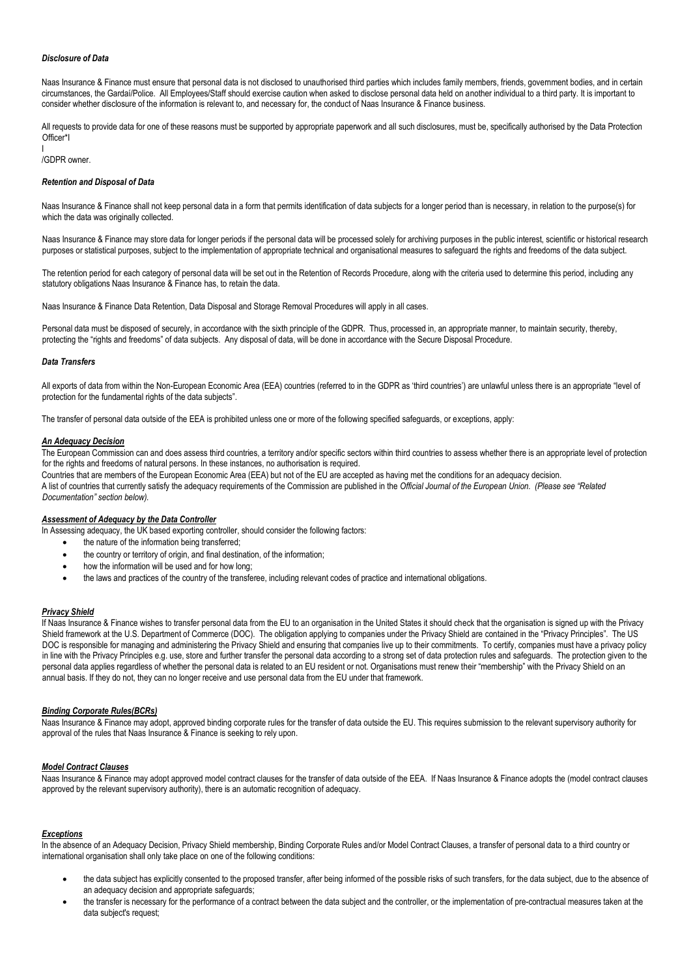## *Disclosure of Data*

Naas Insurance & Finance must ensure that personal data is not disclosed to unauthorised third parties which includes family members, friends, government bodies, and in certain circumstances, the Gardaí/Police. All Employees/Staff should exercise caution when asked to disclose personal data held on another individual to a third party. It is important to consider whether disclosure of the information is relevant to, and necessary for, the conduct of Naas Insurance & Finance business.

All requests to provide data for one of these reasons must be supported by appropriate paperwork and all such disclosures, must be, specifically authorised by the Data Protection Officer\*I

#### I /GDPR owner.

## *Retention and Disposal of Data*

Naas Insurance & Finance shall not keep personal data in a form that permits identification of data subjects for a longer period than is necessary, in relation to the purpose(s) for which the data was originally collected.

Naas Insurance & Finance may store data for longer periods if the personal data will be processed solely for archiving purposes in the public interest, scientific or historical research purposes or statistical purposes, subject to the implementation of appropriate technical and organisational measures to safeguard the rights and freedoms of the data subject.

The retention period for each category of personal data will be set out in the Retention of Records Procedure, along with the criteria used to determine this period, including any statutory obligations Naas Insurance & Finance has, to retain the data.

Naas Insurance & Finance Data Retention, Data Disposal and Storage Removal Procedures will apply in all cases.

Personal data must be disposed of securely, in accordance with the sixth principle of the GDPR. Thus, processed in, an appropriate manner, to maintain security, thereby, protecting the "rights and freedoms" of data subjects. Any disposal of data, will be done in accordance with the Secure Disposal Procedure.

## *Data Transfers*

All exports of data from within the Non-European Economic Area (EEA) countries (referred to in the GDPR as 'third countries') are unlawful unless there is an appropriate "level of protection for the fundamental rights of the data subjects".

The transfer of personal data outside of the EEA is prohibited unless one or more of the following specified safeguards, or exceptions, apply:

#### *An Adequacy Decision*

The European Commission can and does assess third countries, a territory and/or specific sectors within third countries to assess whether there is an appropriate level of protection for the rights and freedoms of natural persons. In these instances, no authorisation is required.

Countries that are members of the European Economic Area (EEA) but not of the EU are accepted as having met the conditions for an adequacy decision. A list of countries that currently satisfy the adequacy requirements of the Commission are published in the *Official Journal of the European Union. (Please see "Related Documentation" section below).*

#### *Assessment of Adequacy by the Data Controller*

In Assessing adequacy, the UK based exporting controller, should consider the following factors:

- the nature of the information being transferred;
- the country or territory of origin, and final destination, of the information:
- how the information will be used and for how long;
- the laws and practices of the country of the transferee, including relevant codes of practice and international obligations.

#### *Privacy Shield*

If Naas Insurance & Finance wishes to transfer personal data from the EU to an organisation in the United States it should check that the organisation is signed up with the Privacy Shield framework at the U.S. Department of Commerce (DOC). The obligation applying to companies under the Privacy Shield are contained in the "Privacy Principles". The US DOC is responsible for managing and administering the Privacy Shield and ensuring that companies live up to their commitments. To certify, companies must have a privacy policy in line with the Privacy Principles e.g. use, store and further transfer the personal data according to a strong set of data protection rules and safeguards. The protection given to the personal data applies regardless of whether the personal data is related to an EU resident or not. Organisations must renew their "membership" with the Privacy Shield on an annual basis. If they do not, they can no longer receive and use personal data from the EU under that framework.

#### *Binding Corporate Rules(BCRs)*

Naas Insurance & Finance may adopt, approved binding corporate rules for the transfer of data outside the EU. This requires submission to the relevant supervisory authority for approval of the rules that Naas Insurance & Finance is seeking to rely upon.

## *Model Contract Clauses*

Naas Insurance & Finance may adopt approved model contract clauses for the transfer of data outside of the EEA. If Naas Insurance & Finance adopts the (model contract clauses approved by the relevant supervisory authority), there is an automatic recognition of adequacy.

#### *Exceptions*

In the absence of an Adequacy Decision, Privacy Shield membership, Binding Corporate Rules and/or Model Contract Clauses, a transfer of personal data to a third country or international organisation shall only take place on one of the following conditions:

- the data subject has explicitly consented to the proposed transfer, after being informed of the possible risks of such transfers, for the data subject, due to the absence of an adequacy decision and appropriate safeguards;
- the transfer is necessary for the performance of a contract between the data subject and the controller, or the implementation of pre-contractual measures taken at the data subject's request: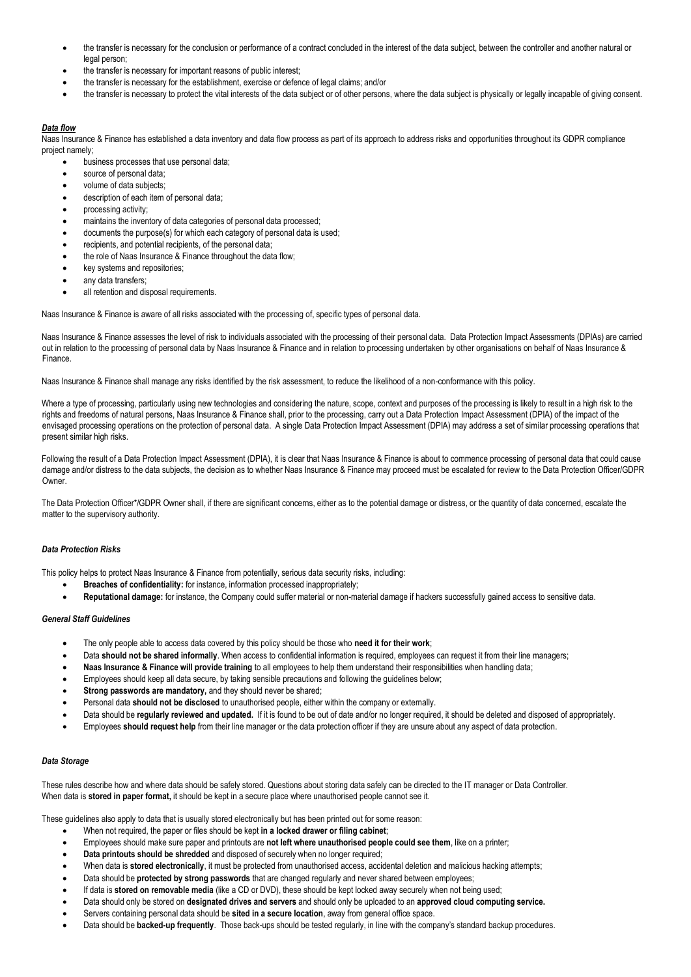- the transfer is necessary for the conclusion or performance of a contract concluded in the interest of the data subject, between the controller and another natural or legal person:
- the transfer is necessary for important reasons of public interest;
- the transfer is necessary for the establishment, exercise or defence of legal claims; and/or
- the transfer is necessary to protect the vital interests of the data subject or of other persons, where the data subject is physically or legally incapable of giving consent.

## *Data flow*

Naas Insurance & Finance has established a data inventory and data flow process as part of its approach to address risks and opportunities throughout its GDPR compliance project namely;

- business processes that use personal data;
- source of personal data:
- volume of data subjects;
- description of each item of personal data;
- processing activity;
- maintains the inventory of data categories of personal data processed;
- documents the purpose(s) for which each category of personal data is used;
- recipients, and potential recipients, of the personal data;
- the role of Naas Insurance & Finance throughout the data flow;
- key systems and repositories;
- any data transfers;
- all retention and disposal requirements.

Naas Insurance & Finance is aware of all risks associated with the processing of, specific types of personal data.

Naas Insurance & Finance assesses the level of risk to individuals associated with the processing of their personal data. Data Protection Impact Assessments (DPIAs) are carried out in relation to the processing of personal data by Naas Insurance & Finance and in relation to processing undertaken by other organisations on behalf of Naas Insurance & Finance.

Naas Insurance & Finance shall manage any risks identified by the risk assessment, to reduce the likelihood of a non-conformance with this policy.

Where a type of processing, particularly using new technologies and considering the nature, scope, context and purposes of the processing is likely to result in a high risk to the rights and freedoms of natural persons, Naas Insurance & Finance shall, prior to the processing, carry out a Data Protection Impact Assessment (DPIA) of the impact of the envisaged processing operations on the protection of personal data. A single Data Protection Impact Assessment (DPIA) may address a set of similar processing operations that present similar high risks.

Following the result of a Data Protection Impact Assessment (DPIA), it is clear that Naas Insurance & Finance is about to commence processing of personal data that could cause damage and/or distress to the data subjects, the decision as to whether Naas Insurance & Finance may proceed must be escalated for review to the Data Protection Officer/GDPR Owner.

The Data Protection Officer\*/GDPR Owner shall, if there are significant concerns, either as to the potential damage or distress, or the quantity of data concerned, escalate the matter to the supervisory authority.

## *Data Protection Risks*

This policy helps to protect Naas Insurance & Finance from potentially, serious data security risks, including:

- **Breaches of confidentiality:** for instance, information processed inappropriately;
- **Reputational damage:** for instance, the Company could suffer material or non-material damage if hackers successfully gained access to sensitive data.

## *General Staff Guidelines*

- The only people able to access data covered by this policy should be those who **need it for their work**;
- Data **should not be shared informally**. When access to confidential information is required, employees can request it from their line managers;
- **Naas Insurance & Finance will provide training** to all employees to help them understand their responsibilities when handling data;
- Employees should keep all data secure, by taking sensible precautions and following the guidelines below;
- **Strong passwords are mandatory, and they should never be shared;**
- Personal data **should not be disclosed** to unauthorised people, either within the company or externally.
- Data should be **regularly reviewed and updated.** If it is found to be out of date and/or no longer required, it should be deleted and disposed of appropriately.
- Employees **should request help** from their line manager or the data protection officer if they are unsure about any aspect of data protection.

## *Data Storage*

These rules describe how and where data should be safely stored. Questions about storing data safely can be directed to the IT manager or Data Controller. When data is **stored in paper format,** it should be kept in a secure place where unauthorised people cannot see it.

These guidelines also apply to data that is usually stored electronically but has been printed out for some reason:

- When not required, the paper or files should be kept **in a locked drawer or filing cabinet**;
- Employees should make sure paper and printouts are **not left where unauthorised people could see them**, like on a printer;
- **Data printouts should be shredded** and disposed of securely when no longer required;
- When data is **stored electronically**, it must be protected from unauthorised access, accidental deletion and malicious hacking attempts;
- Data should be **protected by strong passwords** that are changed regularly and never shared between employees;
- If data is **stored on removable media** (like a CD or DVD), these should be kept locked away securely when not being used;
- Data should only be stored on **designated drives and servers** and should only be uploaded to an **approved cloud computing service.**
- Servers containing personal data should be **sited in a secure location**, away from general office space.
- Data should be **backed-up frequently**. Those back-ups should be tested regularly, in line with the company's standard backup procedures.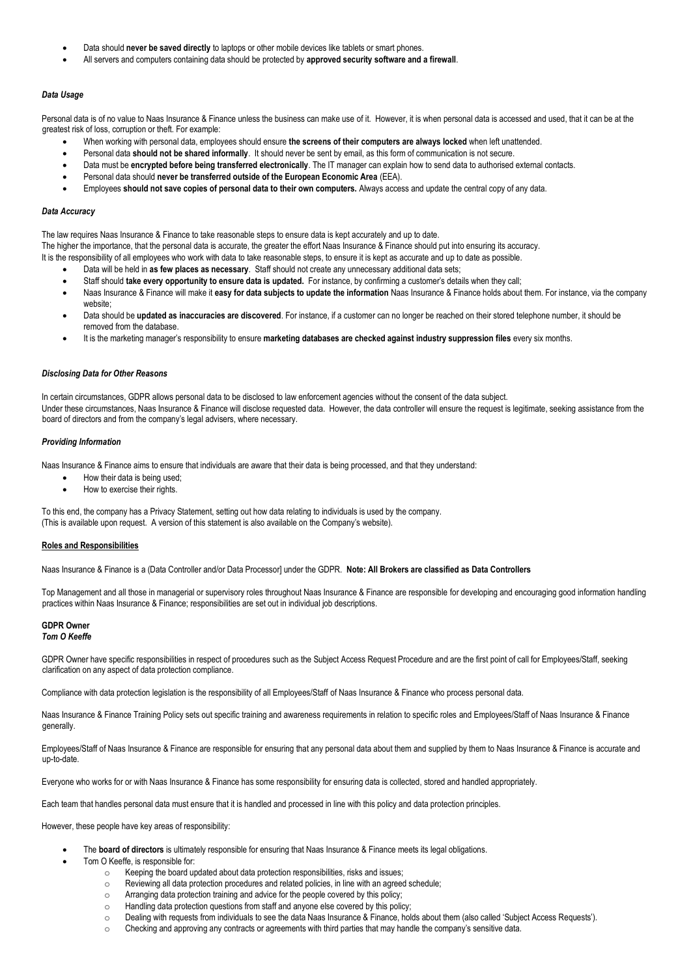- Data should **never be saved directly** to laptops or other mobile devices like tablets or smart phones.
- All servers and computers containing data should be protected by **approved security software and a firewall**.

## *Data Usage*

Personal data is of no value to Naas Insurance & Finance unless the business can make use of it. However, it is when personal data is accessed and used, that it can be at the greatest risk of loss, corruption or theft. For example:

- When working with personal data, employees should ensure **the screens of their computers are always locked** when left unattended.
- Personal data **should not be shared informally**. It should never be sent by email, as this form of communication is not secure.
- Data must be **encrypted before being transferred electronically**. The IT manager can explain how to send data to authorised external contacts.
- Personal data should **never be transferred outside of the European Economic Area** (EEA).
- Employees **should not save copies of personal data to their own computers.** Always access and update the central copy of any data.

### *Data Accuracy*

The law requires Naas Insurance & Finance to take reasonable steps to ensure data is kept accurately and up to date.

The higher the importance, that the personal data is accurate, the greater the effort Naas Insurance & Finance should put into ensuring its accuracy.

It is the responsibility of all employees who work with data to take reasonable steps, to ensure it is kept as accurate and up to date as possible.

- Data will be held in **as few places as necessary**. Staff should not create any unnecessary additional data sets;
- Staff should **take every opportunity to ensure data is updated.** For instance, by confirming a customer's details when they call;
- Naas Insurance & Finance will make it **easy for data subjects to update the information** Naas Insurance & Finance holds about them. For instance, via the company website:
- Data should be **updated as inaccuracies are discovered**. For instance, if a customer can no longer be reached on their stored telephone number, it should be removed from the database.
- It is the marketing manager's responsibility to ensure **marketing databases are checked against industry suppression files** every six months.

#### *Disclosing Data for Other Reasons*

In certain circumstances, GDPR allows personal data to be disclosed to law enforcement agencies without the consent of the data subject. Under these circumstances, Naas Insurance & Finance will disclose requested data. However, the data controller will ensure the request is legitimate, seeking assistance from the board of directors and from the company's legal advisers, where necessary.

#### *Providing Information*

Naas Insurance & Finance aims to ensure that individuals are aware that their data is being processed, and that they understand:

- How their data is being used;
- How to exercise their rights.

To this end, the company has a Privacy Statement, setting out how data relating to individuals is used by the company. (This is available upon request. A version of this statement is also available on the Company's website).

#### **Roles and Responsibilities**

Naas Insurance & Finance is a (Data Controller and/or Data Processor] under the GDPR. **Note: All Brokers are classified as Data Controllers**

Top Management and all those in managerial or supervisory roles throughout Naas Insurance & Finance are responsible for developing and encouraging good information handling practices within Naas Insurance & Finance; responsibilities are set out in individual job descriptions.

#### **GDPR Owner**  *Tom O Keeffe*

GDPR Owner have specific responsibilities in respect of procedures such as the Subject Access Request Procedure and are the first point of call for Employees/Staff, seeking clarification on any aspect of data protection compliance.

Compliance with data protection legislation is the responsibility of all Employees/Staff of Naas Insurance & Finance who process personal data.

Naas Insurance & Finance Training Policy sets out specific training and awareness requirements in relation to specific roles and Employees/Staff of Naas Insurance & Finance generally.

Employees/Staff of Naas Insurance & Finance are responsible for ensuring that any personal data about them and supplied by them to Naas Insurance & Finance is accurate and up-to-date.

Everyone who works for or with Naas Insurance & Finance has some responsibility for ensuring data is collected, stored and handled appropriately.

Each team that handles personal data must ensure that it is handled and processed in line with this policy and data protection principles.

However, these people have key areas of responsibility:

- The **board of directors** is ultimately responsible for ensuring that Naas Insurance & Finance meets its legal obligations.
- Tom O Keeffe, is responsible for:
	- o Keeping the board updated about data protection responsibilities, risks and issues;
	- o Reviewing all data protection procedures and related policies, in line with an agreed schedule;
	- o Arranging data protection training and advice for the people covered by this policy;
	- o Handling data protection questions from staff and anyone else covered by this policy;
	- o Dealing with requests from individuals to see the data Naas Insurance & Finance, holds about them (also called 'Subject Access Requests').
	- $\circ$  Checking and approving any contracts or agreements with third parties that may handle the company's sensitive data.